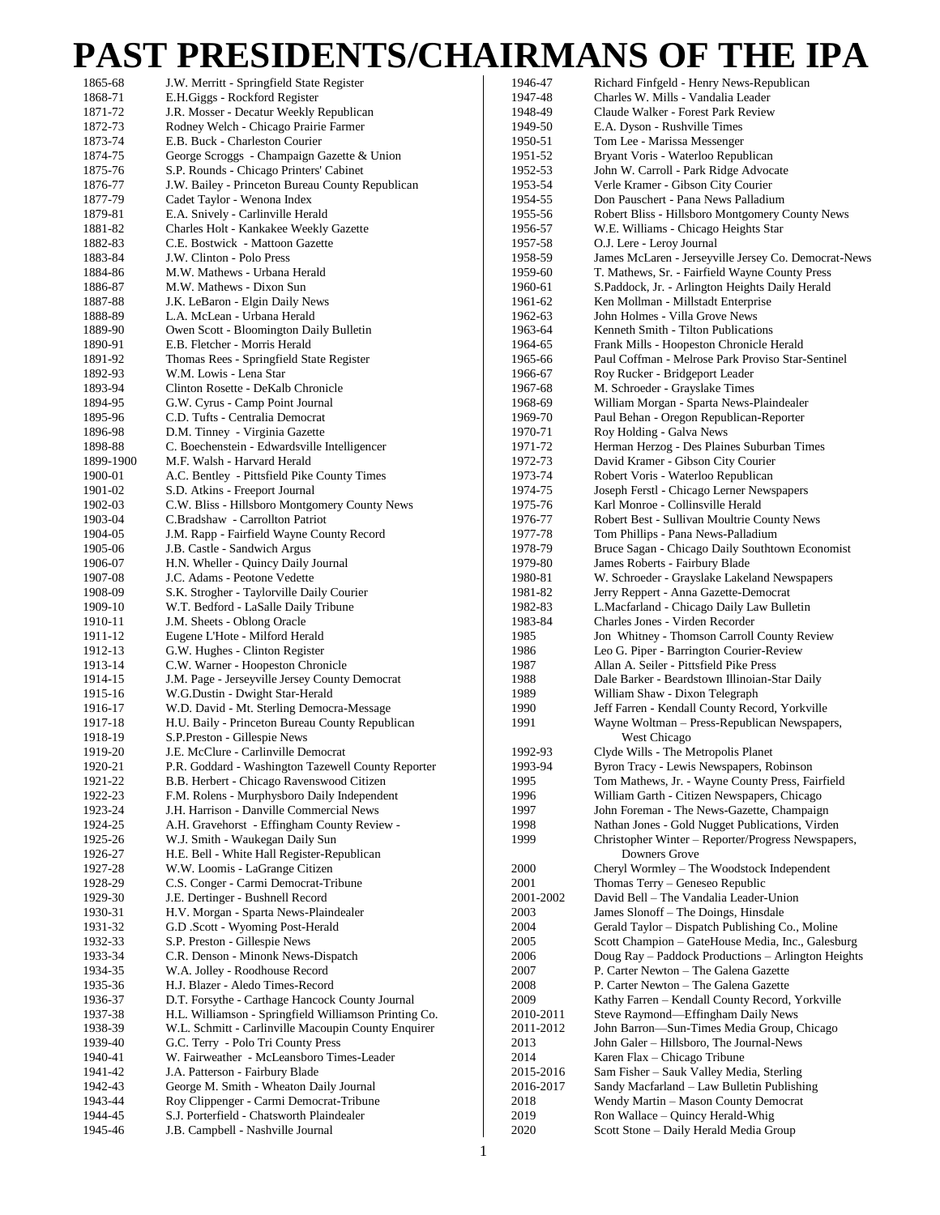## **PAST PRESIDENTS/CHAIRMANS OF THE IPA**

| 1865-68   | J.W. Merritt - Springfield State Register             | 1946-47   | Richard Finfgeld - Henry News-Republican             |
|-----------|-------------------------------------------------------|-----------|------------------------------------------------------|
| 1868-71   | E.H.Giggs - Rockford Register                         | 1947-48   | Charles W. Mills - Vandalia Leader                   |
| 1871-72   | J.R. Mosser - Decatur Weekly Republican               | 1948-49   | Claude Walker - Forest Park Review                   |
|           |                                                       |           |                                                      |
| 1872-73   | Rodney Welch - Chicago Prairie Farmer                 | 1949-50   | E.A. Dyson - Rushville Times                         |
| 1873-74   | E.B. Buck - Charleston Courier                        | 1950-51   | Tom Lee - Marissa Messenger                          |
| 1874-75   | George Scroggs - Champaign Gazette & Union            | 1951-52   | Bryant Voris - Waterloo Republican                   |
| 1875-76   | S.P. Rounds - Chicago Printers' Cabinet               | 1952-53   | John W. Carroll - Park Ridge Advocate                |
| 1876-77   | J.W. Bailey - Princeton Bureau County Republican      | 1953-54   | Verle Kramer - Gibson City Courier                   |
| 1877-79   | Cadet Taylor - Wenona Index                           | 1954-55   | Don Pauschert - Pana News Palladium                  |
|           |                                                       |           |                                                      |
| 1879-81   | E.A. Snively - Carlinville Herald                     | 1955-56   | Robert Bliss - Hillsboro Montgomery County News      |
| 1881-82   | Charles Holt - Kankakee Weekly Gazette                | 1956-57   | W.E. Williams - Chicago Heights Star                 |
| 1882-83   | C.E. Bostwick - Mattoon Gazette                       | 1957-58   | O.J. Lere - Leroy Journal                            |
| 1883-84   | J.W. Clinton - Polo Press                             | 1958-59   | James McLaren - Jerseyville Jersey Co. Democrat-News |
| 1884-86   | M.W. Mathews - Urbana Herald                          | 1959-60   | T. Mathews, Sr. - Fairfield Wayne County Press       |
| 1886-87   | M.W. Mathews - Dixon Sun                              | 1960-61   | S.Paddock, Jr. - Arlington Heights Daily Herald      |
|           |                                                       |           |                                                      |
| 1887-88   | J.K. LeBaron - Elgin Daily News                       | 1961-62   | Ken Mollman - Millstadt Enterprise                   |
| 1888-89   | L.A. McLean - Urbana Herald                           | 1962-63   | John Holmes - Villa Grove News                       |
| 1889-90   | Owen Scott - Bloomington Daily Bulletin               | 1963-64   | Kenneth Smith - Tilton Publications                  |
| 1890-91   | E.B. Fletcher - Morris Herald                         | 1964-65   | Frank Mills - Hoopeston Chronicle Herald             |
| 1891-92   | Thomas Rees - Springfield State Register              | 1965-66   | Paul Coffman - Melrose Park Proviso Star-Sentinel    |
| 1892-93   | W.M. Lowis - Lena Star                                | 1966-67   |                                                      |
|           |                                                       |           | Roy Rucker - Bridgeport Leader                       |
| 1893-94   | Clinton Rosette - DeKalb Chronicle                    | 1967-68   | M. Schroeder - Grayslake Times                       |
| 1894-95   | G.W. Cyrus - Camp Point Journal                       | 1968-69   | William Morgan - Sparta News-Plaindealer             |
| 1895-96   | C.D. Tufts - Centralia Democrat                       | 1969-70   | Paul Behan - Oregon Republican-Reporter              |
| 1896-98   | D.M. Tinney - Virginia Gazette                        | 1970-71   | Roy Holding - Galva News                             |
| 1898-88   | C. Boechenstein - Edwardsville Intelligencer          | 1971-72   | Herman Herzog - Des Plaines Suburban Times           |
|           |                                                       |           |                                                      |
| 1899-1900 | M.F. Walsh - Harvard Herald                           | 1972-73   | David Kramer - Gibson City Courier                   |
| 1900-01   | A.C. Bentley - Pittsfield Pike County Times           | 1973-74   | Robert Voris - Waterloo Republican                   |
| 1901-02   | S.D. Atkins - Freeport Journal                        | 1974-75   | Joseph Ferstl - Chicago Lerner Newspapers            |
| 1902-03   | C.W. Bliss - Hillsboro Montgomery County News         | 1975-76   | Karl Monroe - Collinsville Herald                    |
| 1903-04   | C.Bradshaw - Carrollton Patriot                       | 1976-77   | Robert Best - Sullivan Moultrie County News          |
| 1904-05   | J.M. Rapp - Fairfield Wayne County Record             | 1977-78   | Tom Phillips - Pana News-Palladium                   |
|           |                                                       |           |                                                      |
| 1905-06   | J.B. Castle - Sandwich Argus                          | 1978-79   | Bruce Sagan - Chicago Daily Southtown Economist      |
| 1906-07   | H.N. Wheller - Quincy Daily Journal                   | 1979-80   | James Roberts - Fairbury Blade                       |
| 1907-08   | J.C. Adams - Peotone Vedette                          | 1980-81   | W. Schroeder - Grayslake Lakeland Newspapers         |
| 1908-09   | S.K. Strogher - Taylorville Daily Courier             | 1981-82   | Jerry Reppert - Anna Gazette-Democrat                |
| 1909-10   | W.T. Bedford - LaSalle Daily Tribune                  | 1982-83   | L.Macfarland - Chicago Daily Law Bulletin            |
| 1910-11   | J.M. Sheets - Oblong Oracle                           | 1983-84   | Charles Jones - Virden Recorder                      |
|           |                                                       |           |                                                      |
| 1911-12   | Eugene L'Hote - Milford Herald                        | 1985      | Jon Whitney - Thomson Carroll County Review          |
| 1912-13   | G.W. Hughes - Clinton Register                        | 1986      | Leo G. Piper - Barrington Courier-Review             |
| 1913-14   | C.W. Warner - Hoopeston Chronicle                     | 1987      | Allan A. Seiler - Pittsfield Pike Press              |
| 1914-15   | J.M. Page - Jerseyville Jersey County Democrat        | 1988      | Dale Barker - Beardstown Illinoian-Star Daily        |
| 1915-16   | W.G.Dustin - Dwight Star-Herald                       | 1989      | William Shaw - Dixon Telegraph                       |
| 1916-17   | W.D. David - Mt. Sterling Democra-Message             | 1990      | Jeff Farren - Kendall County Record, Yorkville       |
|           |                                                       |           |                                                      |
| 1917-18   | H.U. Baily - Princeton Bureau County Republican       | 1991      | Wayne Woltman - Press-Republican Newspapers,         |
| 1918-19   | S.P.Preston - Gillespie News                          |           | West Chicago                                         |
| 1919-20   | J.E. McClure - Carlinville Democrat                   | 1992-93   | Clyde Wills - The Metropolis Planet                  |
| 1920-21   | P.R. Goddard - Washington Tazewell County Reporter    | 1993-94   | Byron Tracy - Lewis Newspapers, Robinson             |
| 1921-22   | B.B. Herbert - Chicago Ravenswood Citizen             | 1995      | Tom Mathews, Jr. - Wayne County Press, Fairfield     |
| 1922-23   | F.M. Rolens - Murphysboro Daily Independent           | 1996      | William Garth - Citizen Newspapers, Chicago          |
| 1923-24   |                                                       |           | John Foreman - The News-Gazette, Champaign           |
|           | J.H. Harrison - Danville Commercial News              | 1997      |                                                      |
| 1924-25   | A.H. Gravehorst - Effingham County Review -           | 1998      | Nathan Jones - Gold Nugget Publications, Virden      |
| 1925-26   | W.J. Smith - Waukegan Daily Sun                       | 1999      | Christopher Winter - Reporter/Progress Newspapers,   |
| 1926-27   | H.E. Bell - White Hall Register-Republican            |           | Downers Grove                                        |
| 1927-28   | W.W. Loomis - LaGrange Citizen                        | 2000      | Cheryl Wormley - The Woodstock Independent           |
| 1928-29   | C.S. Conger - Carmi Democrat-Tribune                  | 2001      | Thomas Terry – Geneseo Republic                      |
|           |                                                       |           |                                                      |
| 1929-30   | J.E. Dertinger - Bushnell Record                      | 2001-2002 | David Bell - The Vandalia Leader-Union               |
| 1930-31   | H.V. Morgan - Sparta News-Plaindealer                 | 2003      | James Slonoff - The Doings, Hinsdale                 |
| 1931-32   | G.D .Scott - Wyoming Post-Herald                      | 2004      | Gerald Taylor – Dispatch Publishing Co., Moline      |
| 1932-33   | S.P. Preston - Gillespie News                         | 2005      | Scott Champion – GateHouse Media, Inc., Galesburg    |
| 1933-34   | C.R. Denson - Minonk News-Dispatch                    | 2006      | Doug Ray - Paddock Productions - Arlington Heights   |
| 1934-35   | W.A. Jolley - Roodhouse Record                        | 2007      | P. Carter Newton – The Galena Gazette                |
|           |                                                       | 2008      | P. Carter Newton – The Galena Gazette                |
| 1935-36   | H.J. Blazer - Aledo Times-Record                      |           |                                                      |
| 1936-37   | D.T. Forsythe - Carthage Hancock County Journal       | 2009      | Kathy Farren – Kendall County Record, Yorkville      |
| 1937-38   | H.L. Williamson - Springfield Williamson Printing Co. | 2010-2011 | Steve Raymond—Effingham Daily News                   |
| 1938-39   | W.L. Schmitt - Carlinville Macoupin County Enquirer   | 2011-2012 | John Barron-Sun-Times Media Group, Chicago           |
| 1939-40   | G.C. Terry - Polo Tri County Press                    | 2013      | John Galer - Hillsboro, The Journal-News             |
| 1940-41   | W. Fairweather - McLeansboro Times-Leader             | 2014      | Karen Flax - Chicago Tribune                         |
|           |                                                       |           |                                                      |
| 1941-42   | J.A. Patterson - Fairbury Blade                       | 2015-2016 | Sam Fisher - Sauk Valley Media, Sterling             |
| 1942-43   | George M. Smith - Wheaton Daily Journal               | 2016-2017 | Sandy Macfarland - Law Bulletin Publishing           |
| 1943-44   | Roy Clippenger - Carmi Democrat-Tribune               | 2018      | Wendy Martin - Mason County Democrat                 |
| 1944-45   | S.J. Porterfield - Chatsworth Plaindealer             | 2019      | Ron Wallace - Quincy Herald-Whig                     |
| 1945-46   | J.B. Campbell - Nashville Journal                     | 2020      | Scott Stone - Daily Herald Media Group               |
|           |                                                       |           |                                                      |